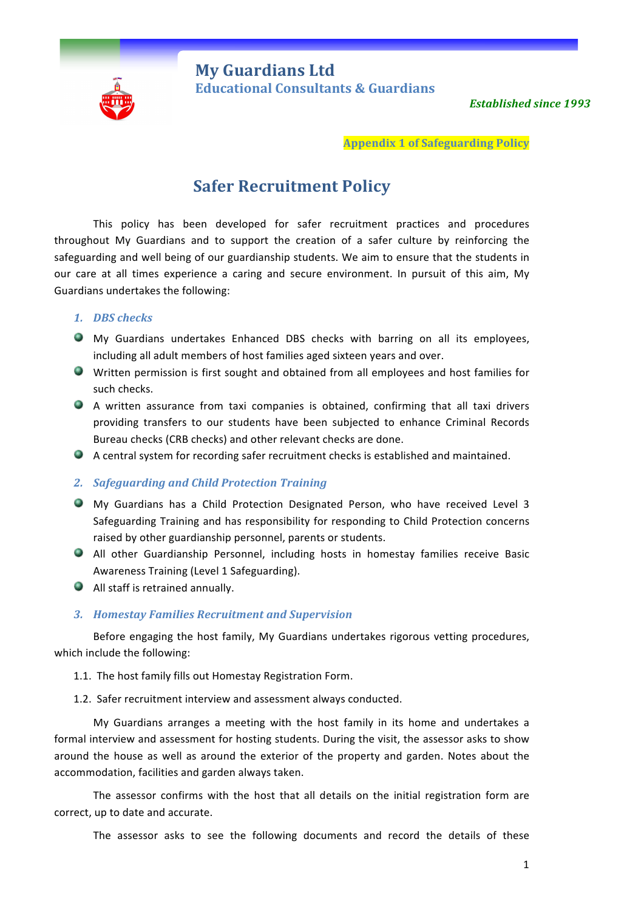

**My Guardians Ltd** **Educational Consultants & Guardians** 

**Established since 1993** 

**Appendix 1 of Safeguarding Policy**

# **Safer Recruitment Policy**

This policy has been developed for safer recruitment practices and procedures throughout My Guardians and to support the creation of a safer culture by reinforcing the safeguarding and well being of our guardianship students. We aim to ensure that the students in our care at all times experience a caring and secure environment. In pursuit of this aim, My Guardians undertakes the following:

## *1. DBS checks*

- My Guardians undertakes Enhanced DBS checks with barring on all its employees, including all adult members of host families aged sixteen years and over.
- Written permission is first sought and obtained from all employees and host families for such checks.
- A written assurance from taxi companies is obtained, confirming that all taxi drivers providing transfers to our students have been subjected to enhance Criminal Records Bureau checks (CRB checks) and other relevant checks are done.
- $\bullet$  A central system for recording safer recruitment checks is established and maintained.

#### **2.** *Safeguarding and Child Protection Training*

- My Guardians has a Child Protection Designated Person, who have received Level 3 Safeguarding Training and has responsibility for responding to Child Protection concerns raised by other guardianship personnel, parents or students.
- All other Guardianship Personnel, including hosts in homestay families receive Basic Awareness Training (Level 1 Safeguarding).
- $\bullet$  All staff is retrained annually.

# *3. Homestay Families Recruitment and Supervision*

Before engaging the host family, My Guardians undertakes rigorous vetting procedures, which include the following:

- 1.1. The host family fills out Homestay Registration Form.
- 1.2. Safer recruitment interview and assessment always conducted.

My Guardians arranges a meeting with the host family in its home and undertakes a formal interview and assessment for hosting students. During the visit, the assessor asks to show around the house as well as around the exterior of the property and garden. Notes about the accommodation, facilities and garden always taken.

The assessor confirms with the host that all details on the initial registration form are correct, up to date and accurate.

The assessor asks to see the following documents and record the details of these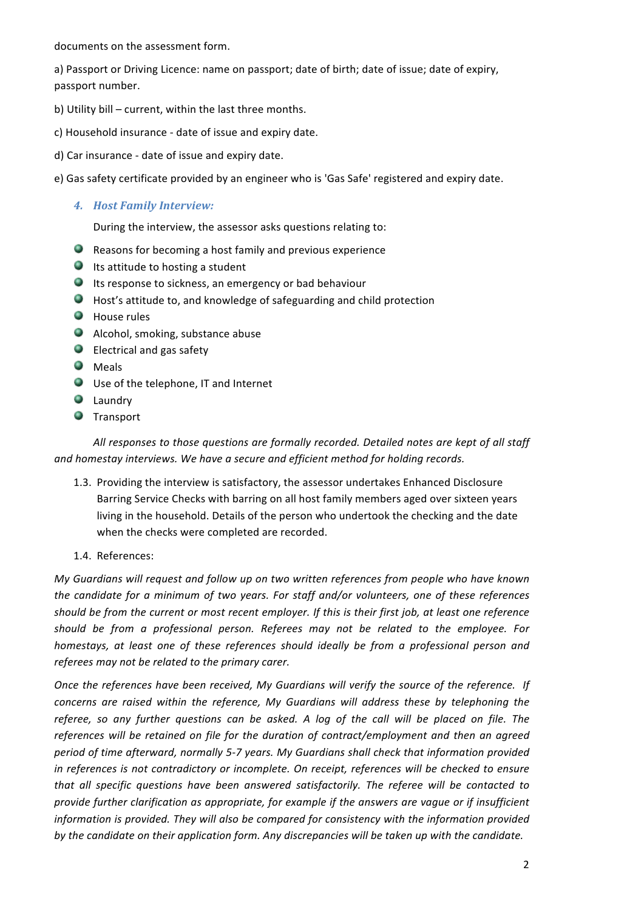documents on the assessment form.

a) Passport or Driving Licence: name on passport; date of birth; date of issue; date of expiry, passport number.

- b) Utility bill current, within the last three months.
- c) Household insurance date of issue and expiry date.
- d) Car insurance date of issue and expiry date.
- e) Gas safety certificate provided by an engineer who is 'Gas Safe' registered and expiry date.
	- *4. Host Family Interview:*

During the interview, the assessor asks questions relating to:

- $\bullet$  Reasons for becoming a host family and previous experience
- $\bullet$  Its attitude to hosting a student
- $\bullet$  Its response to sickness, an emergency or bad behaviour
- $\bullet$  Host's attitude to, and knowledge of safeguarding and child protection
- $\bullet$  House rules
- Alcohol, smoking, substance abuse
- $\bullet$  Electrical and gas safety
- **O** Meals
- $\bigcirc$  Use of the telephone, IT and Internet
- **C** Laundry
- **O** Transport

All responses to those questions are formally recorded. Detailed notes are kept of all staff and homestay interviews. We have a secure and efficient method for holding records.

- 1.3. Providing the interview is satisfactory, the assessor undertakes Enhanced Disclosure Barring Service Checks with barring on all host family members aged over sixteen years living in the household. Details of the person who undertook the checking and the date when the checks were completed are recorded.
- 1.4. References:

*My Guardians will request and follow up on two written references from people who have known the candidate for a minimum of two years. For staff and/or volunteers, one of these references* should be from the current or most recent employer. If this is their first job, at least one reference should be from a professional person. Referees may not be related to the employee. For *homestays, at least one of these references should ideally be from a professional person and* referees may not be related to the primary carer.

*Once the references have been received, My Guardians will verify the source of the reference. If concerns are raised within the reference, My Guardians will address these by telephoning the referee, so any further questions can be asked. A log of the call will be placed on file. The* references will be retained on file for the duration of contract/employment and then an agreed period of time afterward, normally 5-7 years. My Guardians shall check that information provided *in* references is not contradictory or incomplete. On receipt, references will be checked to ensure that all specific questions have been answered satisfactorily. The referee will be contacted to *provide further clarification as appropriate, for example if the answers are vague or if insufficient information is provided. They will also be compared for consistency with the information provided* by the candidate on their application form. Any discrepancies will be taken up with the candidate.